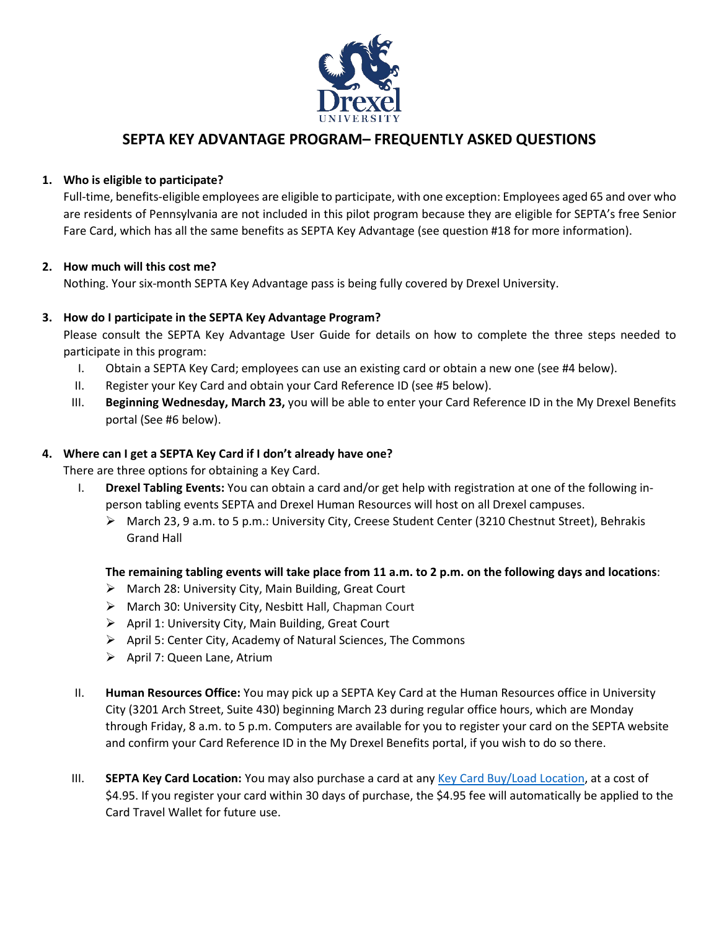

## **SEPTA KEY ADVANTAGE PROGRAM– FREQUENTLY ASKED QUESTIONS**

## **1. Who is eligible to participate?**

Full-time, benefits-eligible employees are eligible to participate, with one exception: Employees aged 65 and over who are residents of Pennsylvania are not included in this pilot program because they are eligible for SEPTA's free Senior Fare Card, which has all the same benefits as SEPTA Key Advantage (see question #18 for more information).

## **2. How much will this cost me?**

Nothing. Your six-month SEPTA Key Advantage pass is being fully covered by Drexel University.

## **3. How do I participate in the SEPTA Key Advantage Program?**

Please consult the SEPTA Key Advantage User Guide for details on how to complete the three steps needed to participate in this program:

- I. Obtain a SEPTA Key Card; employees can use an existing card or obtain a new one (see #4 below).
- II. Register your Key Card and obtain your Card Reference ID (see #5 below).
- III. **Beginning Wednesday, March 23,** you will be able to enter your Card Reference ID in the My Drexel Benefits portal (See #6 below).

#### **4. Where can I get a SEPTA Key Card if I don't already have one?**

There are three options for obtaining a Key Card.

- I. **Drexel Tabling Events:** You can obtain a card and/or get help with registration at one of the following inperson tabling events SEPTA and Drexel Human Resources will host on all Drexel campuses.
	- March 23, 9 a.m. to 5 p.m.: University City, Creese Student Center (3210 Chestnut Street), Behrakis Grand Hall

## **The remaining tabling events will take place from 11 a.m. to 2 p.m. on the following days and locations**:

- March 28: University City, Main Building, Great Court
- March 30: University City, Nesbitt Hall, Chapman Court
- $\triangleright$  April 1: University City, Main Building, Great Court
- $\triangleright$  April 5: Center City, Academy of Natural Sciences, The Commons
- > April 7: Queen Lane, Atrium
- II. **Human Resources Office:** You may pick up a SEPTA Key Card at the Human Resources office in University City (3201 Arch Street, Suite 430) beginning March 23 during regular office hours, which are Monday through Friday, 8 a.m. to 5 p.m. Computers are available for you to register your card on the SEPTA website and confirm your Card Reference ID in the My Drexel Benefits portal, if you wish to do so there.
- III. **SEPTA Key Card Location:** You may also purchase a card at any [Key Card Buy/Load Location,](https://www.septakey.org/info/buy-load-locator) at a cost of \$4.95. If you register your card within 30 days of purchase, the \$4.95 fee will automatically be applied to the Card Travel Wallet for future use.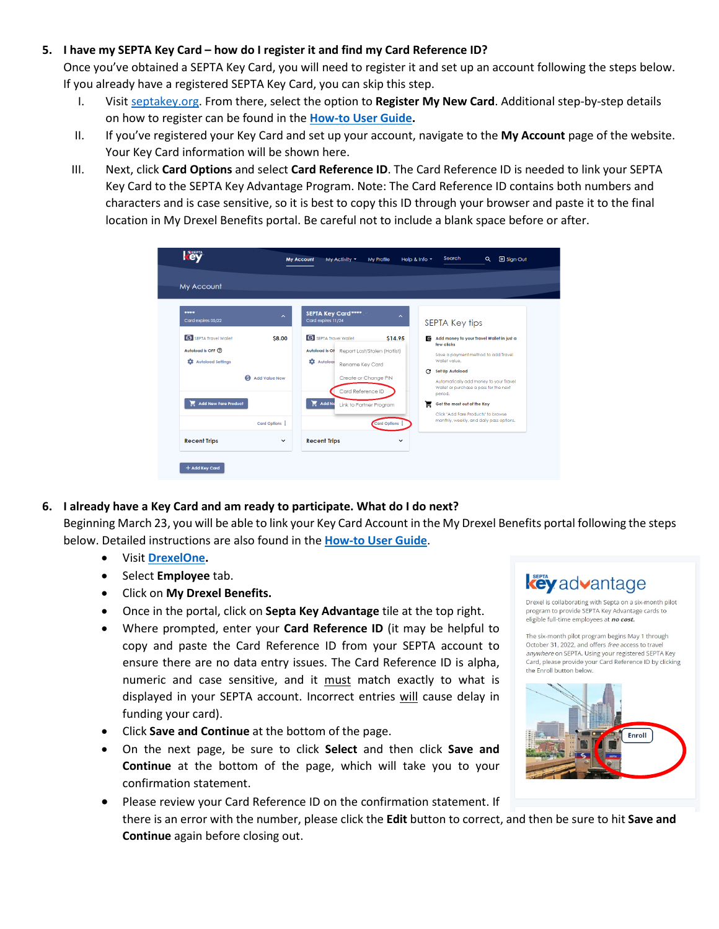#### **5. I have my SEPTA Key Card – how do I register it and find my Card Reference ID?**

Once you've obtained a SEPTA Key Card, you will need to register it and set up an account following the steps below. If you already have a registered SEPTA Key Card, you can skip this step.

- I. Visit septakey.org. From there, select the option to **Register My New Card**. Additional step-by-step details on how to register can be found in the **How-to [User Guide.](https://drexel.edu/%7E/media/Files/hr/benefits/SEPTA-Key-Advantage-Program-How-to-User-Guide.ashx?la=en)**
- II. If you've registered your Key Card and set up your account, navigate to the **My Account** page of the website. Your Key Card information will be shown here.
- III. Next, click **Card Options** and select **Card Reference ID**. The Card Reference ID is needed to link your SEPTA Key Card to the SEPTA Key Advantage Program. Note: The Card Reference ID contains both numbers and characters and is case sensitive, so it is best to copy this ID through your browser and paste it to the final location in My Drexel Benefits portal. Be careful not to include a blank space before or after.



**6. I already have a Key Card and am ready to participate. What do I do next?** 

Beginning March 23, you will be able to link your Key Card Account in the My Drexel Benefits portal following the steps below. Detailed instructions are also found in the **How-to [User Guide](https://drexel.edu/%7E/media/Files/hr/benefits/SEPTA-Key-Advantage-Program-How-to-User-Guide.ashx?la=en)**.

- Visit **[DrexelOne.](https://one.drexel.edu/)**
- Select **Employee** tab.
- Click on **My Drexel Benefits.**
- Once in the portal, click on **Septa Key Advantage** tile at the top right.
- Where prompted, enter your **Card Reference ID** (it may be helpful to copy and paste the Card Reference ID from your SEPTA account to ensure there are no data entry issues. The Card Reference ID is alpha, numeric and case sensitive, and it must match exactly to what is displayed in your SEPTA account. Incorrect entries will cause delay in funding your card).
- Click **Save and Continue** at the bottom of the page.
- On the next page, be sure to click **Select** and then click **Save and Continue** at the bottom of the page, which will take you to your confirmation statement.
- Please review your Card Reference ID on the confirmation statement. If there is an error with the number, please click the **Edit** button to correct, and then be sure to hit **Save and Continue** again before closing out.

# **key** advantage

Drexel is collaborating with Septa on a six-month pilot program to provide SEPTA Key Advantage cards to eligible full-time employees at no cost.

The six-month pilot program begins May 1 through October 31, 2022, and offers free access to travel anywhere on SEPTA. Using your registered SEPTA Key Card, please provide your Card Reference ID by clicking the Enroll button below.

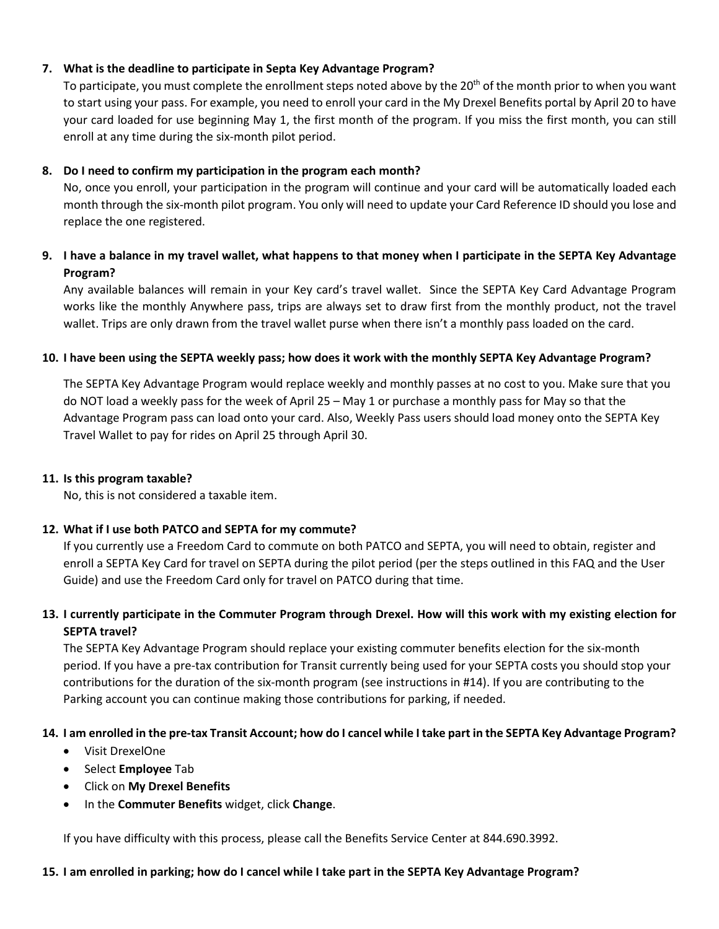## **7. What is the deadline to participate in Septa Key Advantage Program?**

To participate, you must complete the enrollment steps noted above by the 20<sup>th</sup> of the month prior to when you want to start using your pass. For example, you need to enroll your card in the My Drexel Benefits portal by April 20 to have your card loaded for use beginning May 1, the first month of the program. If you miss the first month, you can still enroll at any time during the six-month pilot period.

## **8. Do I need to confirm my participation in the program each month?**

No, once you enroll, your participation in the program will continue and your card will be automatically loaded each month through the six-month pilot program. You only will need to update your Card Reference ID should you lose and replace the one registered.

## **9. I have a balance in my travel wallet, what happens to that money when I participate in the SEPTA Key Advantage Program?**

Any available balances will remain in your Key card's travel wallet. Since the SEPTA Key Card Advantage Program works like the monthly Anywhere pass, trips are always set to draw first from the monthly product, not the travel wallet. Trips are only drawn from the travel wallet purse when there isn't a monthly pass loaded on the card.

#### **10. I have been using the SEPTA weekly pass; how does it work with the monthly SEPTA Key Advantage Program?**

The SEPTA Key Advantage Program would replace weekly and monthly passes at no cost to you. Make sure that you do NOT load a weekly pass for the week of April 25 – May 1 or purchase a monthly pass for May so that the Advantage Program pass can load onto your card. Also, Weekly Pass users should load money onto the SEPTA Key Travel Wallet to pay for rides on April 25 through April 30.

#### **11. Is this program taxable?**

No, this is not considered a taxable item.

#### **12. What if I use both PATCO and SEPTA for my commute?**

If you currently use a Freedom Card to commute on both PATCO and SEPTA, you will need to obtain, register and enroll a SEPTA Key Card for travel on SEPTA during the pilot period (per the steps outlined in this FAQ and the User Guide) and use the Freedom Card only for travel on PATCO during that time.

## **13. I currently participate in the Commuter Program through Drexel. How will this work with my existing election for SEPTA travel?**

The SEPTA Key Advantage Program should replace your existing commuter benefits election for the six-month period. If you have a pre-tax contribution for Transit currently being used for your SEPTA costs you should stop your contributions for the duration of the six-month program (see instructions in #14). If you are contributing to the Parking account you can continue making those contributions for parking, if needed.

## **14. I am enrolled in the pre-tax Transit Account; how do I cancel while I take part in the SEPTA Key Advantage Program?**

- Visit DrexelOne
- Select **Employee** Tab
- Click on **My Drexel Benefits**
- In the **Commuter Benefits** widget, click **Change**.

If you have difficulty with this process, please call the Benefits Service Center at 844.690.3992.

#### **15. I am enrolled in parking; how do I cancel while I take part in the SEPTA Key Advantage Program?**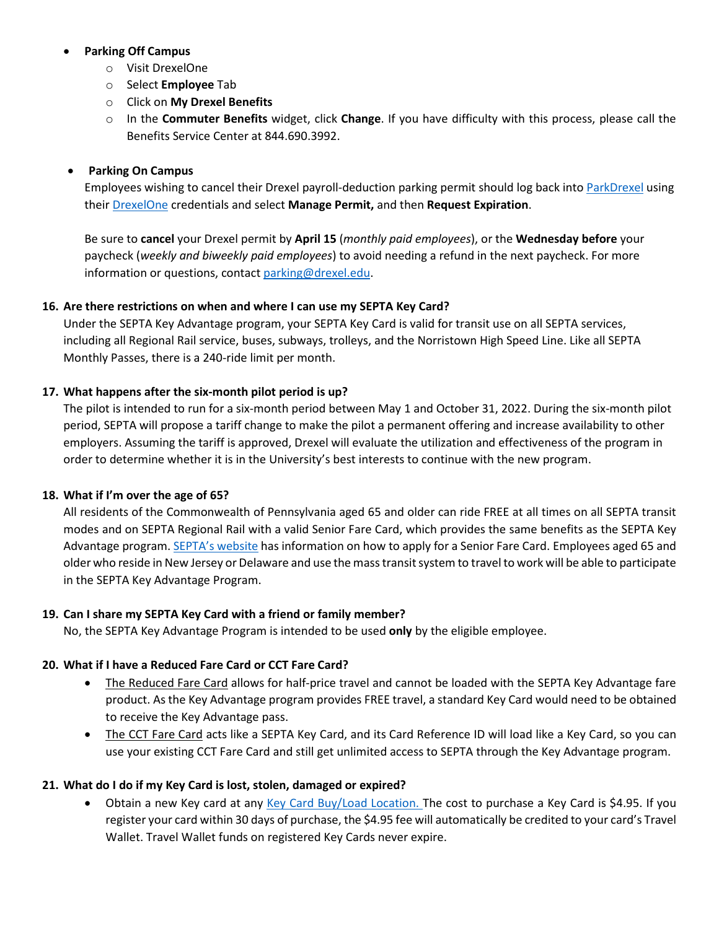## • **Parking Off Campus**

- o Visit DrexelOne
- o Select **Employee** Tab
- o Click on **My Drexel Benefits**
- o In the **Commuter Benefits** widget, click **Change**. If you have difficulty with this process, please call the Benefits Service Center at 844.690.3992.

## • **Parking On Campus**

Employees wishing to cancel their Drexel payroll-deduction parking permit should log back int[o ParkDrexel](https://parkdrexel.aimsparking.com/) using their DrexelOne credentials and select **Manage Permit,** and then **Request Expiration**.

Be sure to **cancel** your Drexel permit by **April 15** (*monthly paid employees*), or the **Wednesday before** your paycheck (*weekly and biweekly paid employees*) to avoid needing a refund in the next paycheck. For more information or questions, contac[t parking@drexel.edu.](mailto:parking@drexel.edu)

#### **16. Are there restrictions on when and where I can use my SEPTA Key Card?**

Under the SEPTA Key Advantage program, your SEPTA Key Card is valid for transit use on all SEPTA services, including all Regional Rail service, buses, subways, trolleys, and the Norristown High Speed Line. Like all SEPTA Monthly Passes, there is a 240-ride limit per month.

#### **17. What happens after the six-month pilot period is up?**

The pilot is intended to run for a six-month period between May 1 and October 31, 2022. During the six-month pilot period, SEPTA will propose a tariff change to make the pilot a permanent offering and increase availability to other employers. Assuming the tariff is approved, Drexel will evaluate the utilization and effectiveness of the program in order to determine whether it is in the University's best interests to continue with the new program.

#### **18. What if I'm over the age of 65?**

All residents of the Commonwealth of Pennsylvania aged 65 and older can ride FREE at all times on all SEPTA transit modes and on SEPTA Regional Rail with a valid [Senior](https://www.septa.org/fares/discount/seniors-ride-free-info.html) Fare Card, which provides the same benefits as the SEPTA Key Advantage program[. SEPTA's website](https://www.septa.org/fares/discount/seniors-ride-free-info.html) has information on how to apply for a Senior Fare Card. Employees aged 65 and older who reside in New Jersey or Delaware and use the mass transit system to travel to work will be able to participate in the SEPTA Key Advantage Program.

#### **19. Can I share my SEPTA Key Card with a friend or family member?**

No, the SEPTA Key Advantage Program is intended to be used **only** by the eligible employee.

## **20. What if I have a Reduced Fare Card or CCT Fare Card?**

- The Reduced Fare Card allows for half-price travel and cannot be loaded with the SEPTA Key Advantage fare product. As the Key Advantage program provides FREE travel, a standard Key Card would need to be obtained to receive the Key Advantage pass.
- The CCT Fare Card acts like a SEPTA Key Card, and its Card Reference ID will load like a Key Card, so you can use your existing CCT Fare Card and still get unlimited access to SEPTA through the Key Advantage program.

#### **21. What do I do if my Key Card is lost, stolen, damaged or expired?**

Obtain a new Key card at any [Key Card Buy/Load Location.](https://www.septakey.org/info/buy-load-locator) The cost to purchase a Key Card is \$4.95. If you register your card within 30 days of purchase, the \$4.95 fee will automatically be credited to your card's Travel Wallet. Travel Wallet funds on registered Key Cards never expire.